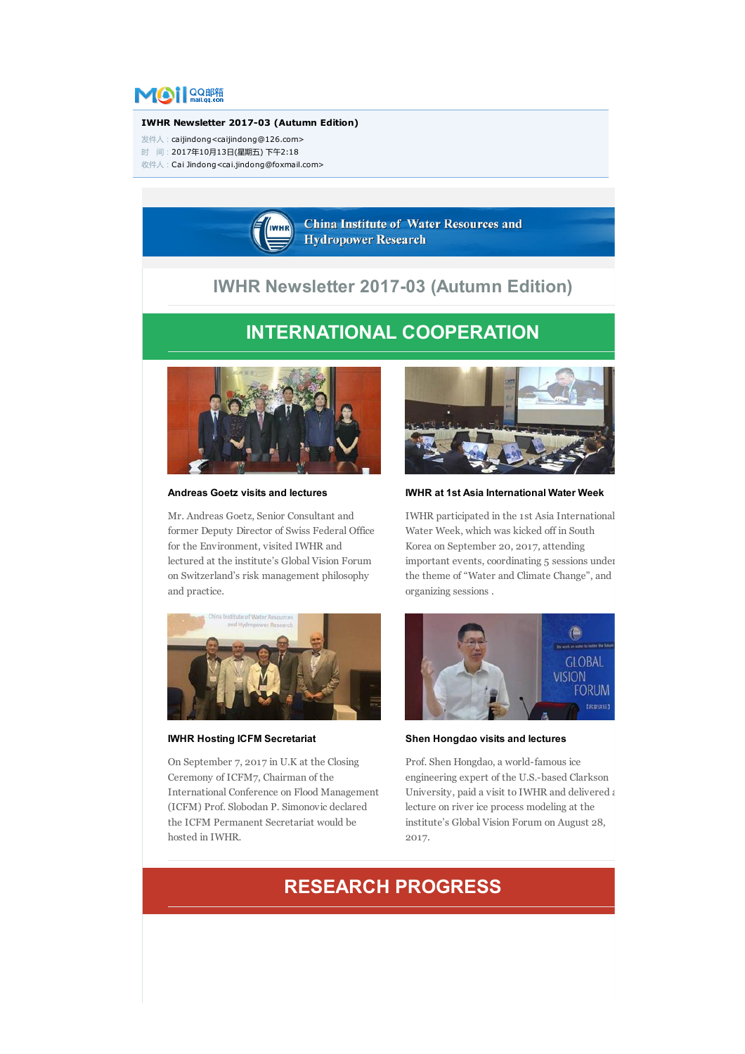

#### IWHR Newsletter 2017-03 (Autumn Edition)

发件人:caijindong<caijindong@126.com>

时 间:2017年10月13日(星期五) 下午2:18

收件人:Cai Jindong<cai.jindong@foxmail.com>



## IWHR Newsletter 2017-03 (Autumn Edition)

# INTERNATIONAL COOPERATION



Andreas Goetz visits and lectures

Mr. Andreas Goetz, Senior Consultant and former Deputy Director of Swiss Federal Office for the Environment, visited IWHR and lectured at the institute's Global Vision Forum on Switzerland's risk management philosophy and practice.



IWHR Hosting ICFM Secretariat

On September 7, 2017 in U.K at the Closing Ceremony of ICFM7, Chairman of the International Conference on Flood Management (ICFM) Prof. Slobodan P. Simonovic declared the ICFM Permanent Secretariat would be hosted in IWHR.



IWHR at 1st Asia International Water Week

IWHR participated in the 1st Asia International Water Week, which was kicked off in South Korea on September 20, 2017, attending important events, coordinating 5 sessions under the theme of "Water and Climate Change", and organizing sessions .



Shen Hongdao visits and lectures

Prof. Shen Hongdao, a world-famous ice engineering expert of the U.S.-based Clarkson University, paid a visit to IWHR and delivered  $\epsilon$ lecture on river ice process modeling at the institute's Global Vision Forum on August 28, 2017.

### RESEARCH PROGRESS